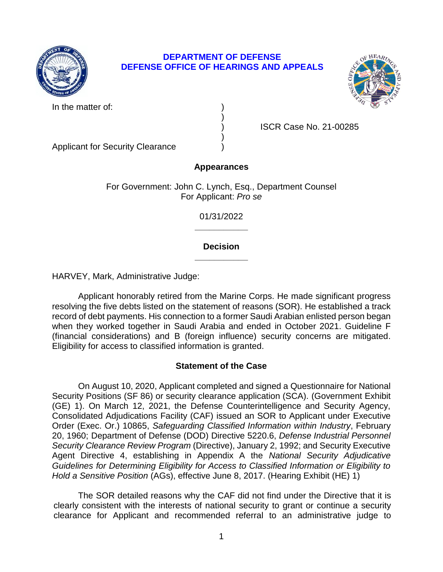

# **DEPARTMENT OF DEFENSE DEFENSE OFFICE OF HEARINGS AND APPEALS**



In the matter of:

) ISCR Case No. 21-00285

Applicant for Security Clearance )

# **Appearances**

)

)

For Government: John C. Lynch, Esq., Department Counsel For Applicant: *Pro se* 

> **\_\_\_\_\_\_\_\_\_\_\_**  01/31/2022

## **\_\_\_\_\_\_\_\_\_\_\_ Decision**

HARVEY, Mark, Administrative Judge:

Applicant honorably retired from the Marine Corps. He made significant progress resolving the five debts listed on the statement of reasons (SOR). He established a track record of debt payments. His connection to a former Saudi Arabian enlisted person began when they worked together in Saudi Arabia and ended in October 2021. Guideline F (financial considerations) and B (foreign influence) security concerns are mitigated. Eligibility for access to classified information is granted.

## **Statement of the Case**

On August 10, 2020, Applicant completed and signed a Questionnaire for National Security Positions (SF 86) or security clearance application (SCA). (Government Exhibit (GE) 1). On March 12, 2021, the Defense Counterintelligence and Security Agency, Consolidated Adjudications Facility (CAF) issued an SOR to Applicant under Executive Order (Exec. Or.) 10865, *Safeguarding Classified Information within Industry*, February 20, 1960; Department of Defense (DOD) Directive 5220.6, *Defense Industrial Personnel Security Clearance Review Program* (Directive), January 2, 1992; and Security Executive Agent Directive 4, establishing in Appendix A the *National Security Adjudicative Guidelines for Determining Eligibility for Access to Classified Information or Eligibility to Hold a Sensitive Position* (AGs), effective June 8, 2017. (Hearing Exhibit (HE) 1)

The SOR detailed reasons why the CAF did not find under the Directive that it is clearly consistent with the interests of national security to grant or continue a security clearance for Applicant and recommended referral to an administrative judge to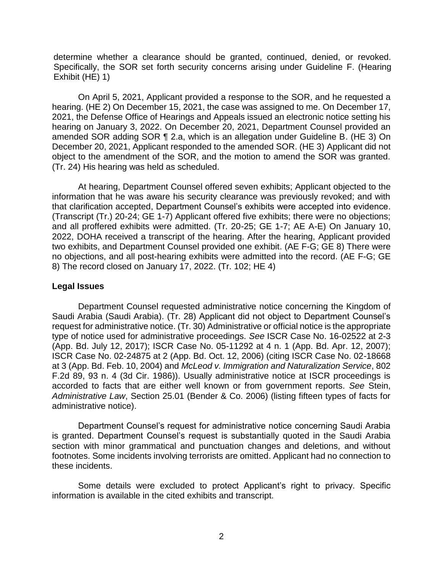determine whether a clearance should be granted, continued, denied, or revoked. Specifically, the SOR set forth security concerns arising under Guideline F. (Hearing Exhibit (HE) 1)

On April 5, 2021, Applicant provided a response to the SOR, and he requested a hearing. (HE 2) On December 15, 2021, the case was assigned to me. On December 17, 2021, the Defense Office of Hearings and Appeals issued an electronic notice setting his hearing on January 3, 2022. On December 20, 2021, Department Counsel provided an amended SOR adding SOR ¶ 2.a, which is an allegation under Guideline B. (HE 3) On December 20, 2021, Applicant responded to the amended SOR. (HE 3) Applicant did not object to the amendment of the SOR, and the motion to amend the SOR was granted. (Tr. 24) His hearing was held as scheduled.

At hearing, Department Counsel offered seven exhibits; Applicant objected to the information that he was aware his security clearance was previously revoked; and with that clarification accepted, Department Counsel's exhibits were accepted into evidence. (Transcript (Tr.) 20-24; GE 1-7) Applicant offered five exhibits; there were no objections; and all proffered exhibits were admitted. (Tr. 20-25; GE 1-7; AE A-E) On January 10, 2022, DOHA received a transcript of the hearing. After the hearing, Applicant provided two exhibits, and Department Counsel provided one exhibit. (AE F-G; GE 8) There were no objections, and all post-hearing exhibits were admitted into the record. (AE F-G; GE 8) The record closed on January 17, 2022. (Tr. 102; HE 4)

### **Legal Issues**

 Saudi Arabia (Saudi Arabia). (Tr. 28) Applicant did not object to Department Counsel's Department Counsel requested administrative notice concerning the Kingdom of request for administrative notice. (Tr. 30) Administrative or official notice is the appropriate type of notice used for administrative proceedings. *See* ISCR Case No. 16-02522 at 2-3 (App. Bd. July 12, 2017); ISCR Case No. 05-11292 at 4 n. 1 (App. Bd. Apr. 12, 2007); ISCR Case No. 02-24875 at 2 (App. Bd. Oct. 12, 2006) (citing ISCR Case No. 02-18668 at 3 (App. Bd. Feb. 10, 2004) and *McLeod v. Immigration and Naturalization Service*, 802 F.2d 89, 93 n. 4 (3d Cir. 1986)). Usually administrative notice at ISCR proceedings is accorded to facts that are either well known or from government reports. *See* Stein, *Administrative Law*, Section 25.01 (Bender & Co. 2006) (listing fifteen types of facts for administrative notice).

 Department Counsel's request for administrative notice concerning Saudi Arabia is granted. Department Counsel's request is substantially quoted in the Saudi Arabia section with minor grammatical and punctuation changes and deletions, and without footnotes. Some incidents involving terrorists are omitted. Applicant had no connection to these incidents.

Some details were excluded to protect Applicant's right to privacy. Specific information is available in the cited exhibits and transcript.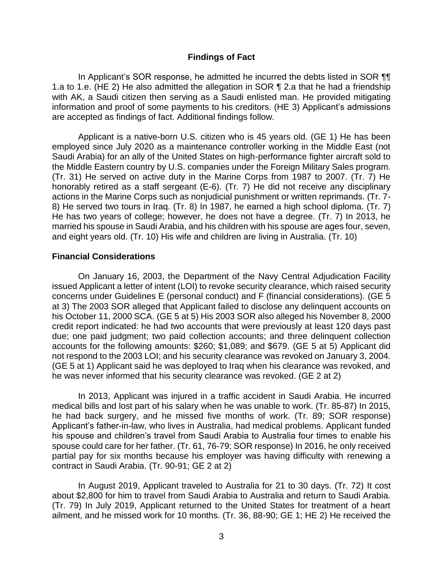#### **Findings of Fact**

In Applicant's SOR response, he admitted he incurred the debts listed in SOR ¶¶ 1.a to 1.e. (HE 2) He also admitted the allegation in SOR ¶ 2.a that he had a friendship with AK, a Saudi citizen then serving as a Saudi enlisted man. He provided mitigating information and proof of some payments to his creditors. (HE 3) Applicant's admissions are accepted as findings of fact. Additional findings follow.

Applicant is a native-born U.S. citizen who is 45 years old. (GE 1) He has been employed since July 2020 as a maintenance controller working in the Middle East (not Saudi Arabia) for an ally of the United States on high-performance fighter aircraft sold to the Middle Eastern country by U.S. companies under the Foreign Military Sales program. (Tr. 31) He served on active duty in the Marine Corps from 1987 to 2007. (Tr. 7) He honorably retired as a staff sergeant (E-6). (Tr. 7) He did not receive any disciplinary actions in the Marine Corps such as nonjudicial punishment or written reprimands. (Tr. 7- 8) He served two tours in Iraq. (Tr. 8) In 1987, he earned a high school diploma. (Tr. 7) He has two years of college; however, he does not have a degree. (Tr. 7) In 2013, he married his spouse in Saudi Arabia, and his children with his spouse are ages four, seven, and eight years old. (Tr. 10) His wife and children are living in Australia. (Tr. 10)

#### **Financial Considerations**

On January 16, 2003, the Department of the Navy Central Adjudication Facility issued Applicant a letter of intent (LOI) to revoke security clearance, which raised security concerns under Guidelines E (personal conduct) and F (financial considerations). (GE 5 at 3) The 2003 SOR alleged that Applicant failed to disclose any delinquent accounts on his October 11, 2000 SCA. (GE 5 at 5) His 2003 SOR also alleged his November 8, 2000 credit report indicated: he had two accounts that were previously at least 120 days past due; one paid judgment; two paid collection accounts; and three delinquent collection accounts for the following amounts: \$260; \$1,089; and \$679. (GE 5 at 5) Applicant did not respond to the 2003 LOI; and his security clearance was revoked on January 3, 2004. (GE 5 at 1) Applicant said he was deployed to Iraq when his clearance was revoked, and he was never informed that his security clearance was revoked. (GE 2 at 2)

 his spouse and children's travel from Saudi Arabia to Australia four times to enable his In 2013, Applicant was injured in a traffic accident in Saudi Arabia. He incurred medical bills and lost part of his salary when he was unable to work. (Tr. 85-87) In 2015, he had back surgery, and he missed five months of work. (Tr. 89; SOR response) Applicant's father-in-law, who lives in Australia, had medical problems. Applicant funded spouse could care for her father. (Tr. 61, 76-79; SOR response) In 2016, he only received partial pay for six months because his employer was having difficulty with renewing a contract in Saudi Arabia. (Tr. 90-91; GE 2 at 2)

In August 2019, Applicant traveled to Australia for 21 to 30 days. (Tr. 72) It cost about \$2,800 for him to travel from Saudi Arabia to Australia and return to Saudi Arabia. (Tr. 79) In July 2019, Applicant returned to the United States for treatment of a heart ailment, and he missed work for 10 months. (Tr. 36, 88-90; GE 1; HE 2) He received the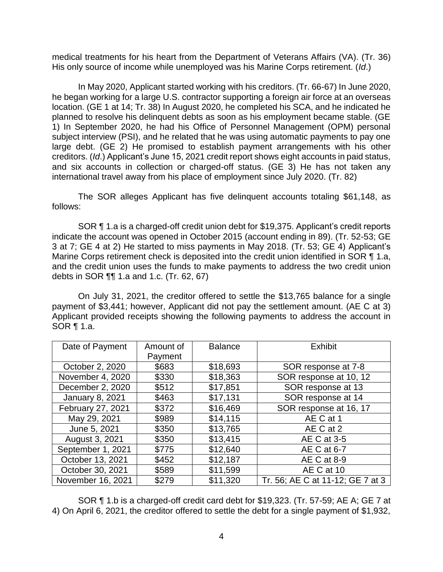medical treatments for his heart from the Department of Veterans Affairs (VA). (Tr. 36) His only source of income while unemployed was his Marine Corps retirement. (*Id*.)

In May 2020, Applicant started working with his creditors. (Tr. 66-67) In June 2020, he began working for a large U.S. contractor supporting a foreign air force at an overseas location. (GE 1 at 14; Tr. 38) In August 2020, he completed his SCA, and he indicated he planned to resolve his delinquent debts as soon as his employment became stable. (GE 1) In September 2020, he had his Office of Personnel Management (OPM) personal subject interview (PSI), and he related that he was using automatic payments to pay one large debt. (GE 2) He promised to establish payment arrangements with his other creditors. (*Id*.) Applicant's June 15, 2021 credit report shows eight accounts in paid status, and six accounts in collection or charged-off status. (GE 3) He has not taken any international travel away from his place of employment since July 2020. (Tr. 82)

The SOR alleges Applicant has five delinquent accounts totaling \$61,148, as follows:

SOR ¶ 1.a is a charged-off credit union debt for \$19,375. Applicant's credit reports indicate the account was opened in October 2015 (account ending in 89). (Tr. 52-53; GE 3 at 7; GE 4 at 2) He started to miss payments in May 2018. (Tr. 53; GE 4) Applicant's Marine Corps retirement check is deposited into the credit union identified in SOR ¶ 1.a, and the credit union uses the funds to make payments to address the two credit union debts in SOR ¶¶ 1.a and 1.c. (Tr. 62, 67)

On July 31, 2021, the creditor offered to settle the \$13,765 balance for a single payment of \$3,441; however, Applicant did not pay the settlement amount. (AE C at 3) Applicant provided receipts showing the following payments to address the account in SOR ¶ 1.a.

| Date of Payment        | Amount of | <b>Balance</b> | <b>Exhibit</b>                   |
|------------------------|-----------|----------------|----------------------------------|
|                        | Payment   |                |                                  |
| October 2, 2020        | \$683     | \$18,693       | SOR response at 7-8              |
| November 4, 2020       | \$330     | \$18,363       | SOR response at 10, 12           |
| December 2, 2020       | \$512     | \$17,851       | SOR response at 13               |
| <b>January 8, 2021</b> | \$463     | \$17,131       | SOR response at 14               |
| February 27, 2021      | \$372     | \$16,469       | SOR response at 16, 17           |
| May 29, 2021           | \$989     | \$14,115       | AE C at 1                        |
| June 5, 2021           | \$350     | \$13,765       | AE C at 2                        |
| August 3, 2021         | \$350     | \$13,415       | AE C at 3-5                      |
| September 1, 2021      | \$775     | \$12,640       | AE C at 6-7                      |
| October 13, 2021       | \$452     | \$12,187       | AE C at 8-9                      |
| October 30, 2021       | \$589     | \$11,599       | AE C at 10                       |
| November 16, 2021      | \$279     | \$11,320       | Tr. 56; AE C at 11-12; GE 7 at 3 |

SOR ¶ 1.b is a charged-off credit card debt for \$19,323. (Tr. 57-59; AE A; GE 7 at 4) On April 6, 2021, the creditor offered to settle the debt for a single payment of \$1,932,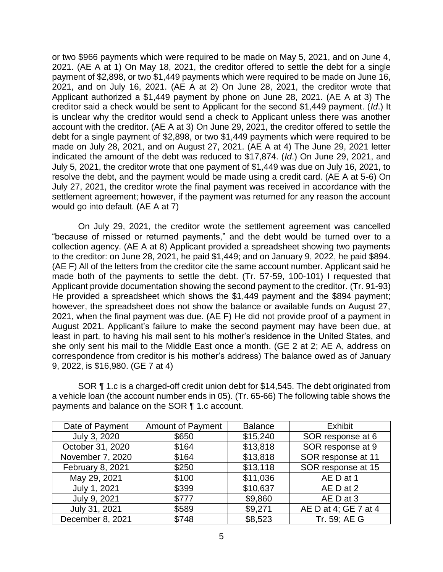or two \$966 payments which were required to be made on May 5, 2021, and on June 4, 2021. (AE A at 1) On May 18, 2021, the creditor offered to settle the debt for a single payment of \$2,898, or two \$1,449 payments which were required to be made on June 16, 2021, and on July 16, 2021. (AE A at 2) On June 28, 2021, the creditor wrote that Applicant authorized a \$1,449 payment by phone on June 28, 2021. (AE A at 3) The creditor said a check would be sent to Applicant for the second \$1,449 payment. (*Id*.) It is unclear why the creditor would send a check to Applicant unless there was another account with the creditor. (AE A at 3) On June 29, 2021, the creditor offered to settle the debt for a single payment of \$2,898, or two \$1,449 payments which were required to be made on July 28, 2021, and on August 27, 2021. (AE A at 4) The June 29, 2021 letter indicated the amount of the debt was reduced to \$17,874. (*Id*.) On June 29, 2021, and July 5, 2021, the creditor wrote that one payment of \$1,449 was due on July 16, 2021, to resolve the debt, and the payment would be made using a credit card. (AE A at 5-6) On July 27, 2021, the creditor wrote the final payment was received in accordance with the settlement agreement; however, if the payment was returned for any reason the account would go into default. (AE A at 7)

 "because of missed or returned payments," and the debt would be turned over to a August 2021. Applicant's failure to make the second payment may have been due, at least in part, to having his mail sent to his mother's residence in the United States, and On July 29, 2021, the creditor wrote the settlement agreement was cancelled collection agency. (AE A at 8) Applicant provided a spreadsheet showing two payments to the creditor: on June 28, 2021, he paid \$1,449; and on January 9, 2022, he paid \$894. (AE F) All of the letters from the creditor cite the same account number. Applicant said he made both of the payments to settle the debt. (Tr. 57-59, 100-101) I requested that Applicant provide documentation showing the second payment to the creditor. (Tr. 91-93) He provided a spreadsheet which shows the \$1,449 payment and the \$894 payment; however, the spreadsheet does not show the balance or available funds on August 27, 2021, when the final payment was due. (AE F) He did not provide proof of a payment in she only sent his mail to the Middle East once a month. (GE 2 at 2; AE A, address on correspondence from creditor is his mother's address) The balance owed as of January 9, 2022, is \$16,980. (GE 7 at 4)

SOR ¶ 1.c is a charged-off credit union debt for \$14,545. The debt originated from a vehicle loan (the account number ends in 05). (Tr. 65-66) The following table shows the payments and balance on the SOR ¶ 1.c account.

| Date of Payment  | <b>Amount of Payment</b> | <b>Balance</b> | <b>Exhibit</b>       |
|------------------|--------------------------|----------------|----------------------|
| July 3, 2020     | \$650                    | \$15,240       | SOR response at 6    |
| October 31, 2020 | \$164                    | \$13,818       | SOR response at 9    |
| November 7, 2020 | \$164                    | \$13,818       | SOR response at 11   |
| February 8, 2021 | \$250                    | \$13,118       | SOR response at 15   |
| May 29, 2021     | \$100                    | \$11,036       | AE D at 1            |
| July 1, 2021     | \$399                    | \$10,637       | AE D at 2            |
| July 9, 2021     | \$777                    | \$9,860        | AE D at 3            |
| July 31, 2021    | \$589                    | \$9,271        | AE D at 4; GE 7 at 4 |
| December 8, 2021 | \$748                    | \$8,523        | Tr. 59; AE G         |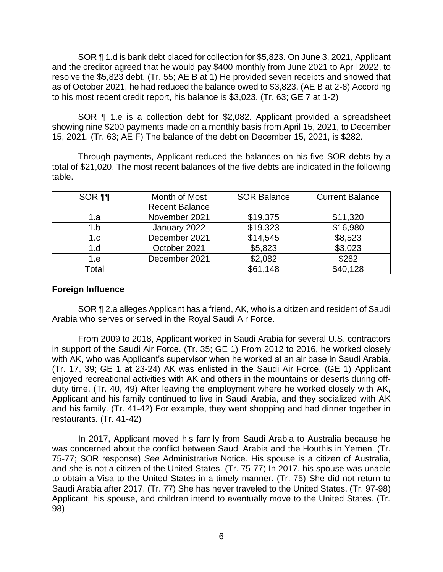SOR ¶ 1.d is bank debt placed for collection for \$5,823. On June 3, 2021, Applicant and the creditor agreed that he would pay \$400 monthly from June 2021 to April 2022, to resolve the \$5,823 debt. (Tr. 55; AE B at 1) He provided seven receipts and showed that as of October 2021, he had reduced the balance owed to \$3,823. (AE B at 2-8) According to his most recent credit report, his balance is \$3,023. (Tr. 63; GE 7 at 1-2)

SOR ¶ 1.e is a collection debt for \$2,082. Applicant provided a spreadsheet showing nine \$200 payments made on a monthly basis from April 15, 2021, to December 15, 2021. (Tr. 63; AE F) The balance of the debt on December 15, 2021, is \$282.

Through payments, Applicant reduced the balances on his five SOR debts by a total of \$21,020. The most recent balances of the five debts are indicated in the following table.

| SOR <b>¶</b> | Month of Most         | <b>SOR Balance</b> | <b>Current Balance</b> |
|--------------|-----------------------|--------------------|------------------------|
|              | <b>Recent Balance</b> |                    |                        |
| 1.a          | November 2021         | \$19,375           | \$11,320               |
| 1.b          | January 2022          | \$19,323           | \$16,980               |
| 1.c          | December 2021         | \$14,545           | \$8,523                |
| 1.d          | October 2021          | \$5,823            | \$3,023                |
| 1.e          | December 2021         | \$2,082            | \$282                  |
| Total        |                       | \$61,148           | \$40,128               |

## **Foreign Influence**

SOR ¶ 2.a alleges Applicant has a friend, AK, who is a citizen and resident of Saudi Arabia who serves or served in the Royal Saudi Air Force.

 with AK, who was Applicant's supervisor when he worked at an air base in Saudi Arabia. From 2009 to 2018, Applicant worked in Saudi Arabia for several U.S. contractors in support of the Saudi Air Force. (Tr. 35; GE 1) From 2012 to 2016, he worked closely (Tr. 17, 39; GE 1 at 23-24) AK was enlisted in the Saudi Air Force. (GE 1) Applicant enjoyed recreational activities with AK and others in the mountains or deserts during offduty time. (Tr. 40, 49) After leaving the employment where he worked closely with AK, Applicant and his family continued to live in Saudi Arabia, and they socialized with AK and his family. (Tr. 41-42) For example, they went shopping and had dinner together in restaurants. (Tr. 41-42)

In 2017, Applicant moved his family from Saudi Arabia to Australia because he was concerned about the conflict between Saudi Arabia and the Houthis in Yemen. (Tr. 75-77; SOR response) *See* Administrative Notice. His spouse is a citizen of Australia, and she is not a citizen of the United States. (Tr. 75-77) In 2017, his spouse was unable to obtain a Visa to the United States in a timely manner. (Tr. 75) She did not return to Saudi Arabia after 2017. (Tr. 77) She has never traveled to the United States. (Tr. 97-98) Applicant, his spouse, and children intend to eventually move to the United States. (Tr. 98)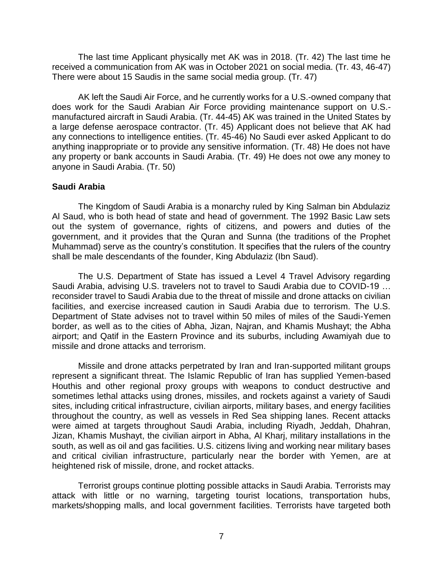The last time Applicant physically met AK was in 2018. (Tr. 42) The last time he received a communication from AK was in October 2021 on social media. (Tr. 43, 46-47) There were about 15 Saudis in the same social media group. (Tr. 47)

AK left the Saudi Air Force, and he currently works for a U.S.-owned company that does work for the Saudi Arabian Air Force providing maintenance support on U.S. manufactured aircraft in Saudi Arabia. (Tr. 44-45) AK was trained in the United States by a large defense aerospace contractor. (Tr. 45) Applicant does not believe that AK had any connections to intelligence entities. (Tr. 45-46) No Saudi ever asked Applicant to do anything inappropriate or to provide any sensitive information. (Tr. 48) He does not have any property or bank accounts in Saudi Arabia. (Tr. 49) He does not owe any money to anyone in Saudi Arabia. (Tr. 50)

## **Saudi Arabia**

 Muhammad) serve as the country's constitution. It specifies that the rulers of the country The Kingdom of Saudi Arabia is a monarchy ruled by King Salman bin Abdulaziz Al Saud, who is both head of state and head of government. The 1992 Basic Law sets out the system of governance, rights of citizens, and powers and duties of the government, and it provides that the Quran and Sunna (the traditions of the Prophet shall be male descendants of the founder, King Abdulaziz (Ibn Saud).

 Saudi Arabia, advising U.S. travelers not to travel to Saudi Arabia due to COVID-19 … The U.S. Department of State has issued a Level 4 Travel Advisory regarding reconsider travel to Saudi Arabia due to the threat of missile and drone attacks on civilian facilities, and exercise increased caution in Saudi Arabia due to terrorism. The U.S. Department of State advises not to travel within 50 miles of miles of the Saudi-Yemen border, as well as to the cities of Abha, Jizan, Najran, and Khamis Mushayt; the Abha airport; and Qatif in the Eastern Province and its suburbs, including Awamiyah due to missile and drone attacks and terrorism.

Missile and drone attacks perpetrated by Iran and Iran-supported militant groups represent a significant threat. The Islamic Republic of Iran has supplied Yemen-based Houthis and other regional proxy groups with weapons to conduct destructive and sometimes lethal attacks using drones, missiles, and rockets against a variety of Saudi sites, including critical infrastructure, civilian airports, military bases, and energy facilities throughout the country, as well as vessels in Red Sea shipping lanes. Recent attacks were aimed at targets throughout Saudi Arabia, including Riyadh, Jeddah, Dhahran, Jizan, Khamis Mushayt, the civilian airport in Abha, Al Kharj, military installations in the south, as well as oil and gas facilities. U.S. citizens living and working near military bases and critical civilian infrastructure, particularly near the border with Yemen, are at heightened risk of missile, drone, and rocket attacks.

Terrorist groups continue plotting possible attacks in Saudi Arabia. Terrorists may attack with little or no warning, targeting tourist locations, transportation hubs, markets/shopping malls, and local government facilities. Terrorists have targeted both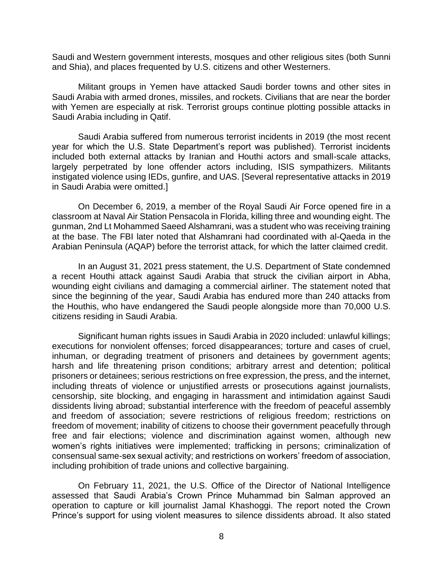Saudi and Western government interests, mosques and other religious sites (both Sunni and Shia), and places frequented by U.S. citizens and other Westerners.

Militant groups in Yemen have attacked Saudi border towns and other sites in Saudi Arabia with armed drones, missiles, and rockets. Civilians that are near the border with Yemen are especially at risk. Terrorist groups continue plotting possible attacks in Saudi Arabia including in Qatif.

 year for which the U.S. State Department's report was published). Terrorist incidents Saudi Arabia suffered from numerous terrorist incidents in 2019 (the most recent included both external attacks by Iranian and Houthi actors and small-scale attacks, largely perpetrated by lone offender actors including, ISIS sympathizers. Militants instigated violence using IEDs, gunfire, and UAS. [Several representative attacks in 2019 in Saudi Arabia were omitted.]

On December 6, 2019, a member of the Royal Saudi Air Force opened fire in a classroom at Naval Air Station Pensacola in Florida, killing three and wounding eight. The gunman, 2nd Lt Mohammed Saeed Alshamrani, was a student who was receiving training at the base. The FBI later noted that Alshamrani had coordinated with al-Qaeda in the Arabian Peninsula (AQAP) before the terrorist attack, for which the latter claimed credit.

In an August 31, 2021 press statement, the U.S. Department of State condemned a recent Houthi attack against Saudi Arabia that struck the civilian airport in Abha, wounding eight civilians and damaging a commercial airliner. The statement noted that since the beginning of the year, Saudi Arabia has endured more than 240 attacks from the Houthis, who have endangered the Saudi people alongside more than 70,000 U.S. citizens residing in Saudi Arabia.

 consensual same-sex sexual activity; and restrictions on workers' freedom of association, Significant human rights issues in Saudi Arabia in 2020 included: unlawful killings; executions for nonviolent offenses; forced disappearances; torture and cases of cruel, inhuman, or degrading treatment of prisoners and detainees by government agents; harsh and life threatening prison conditions; arbitrary arrest and detention; political prisoners or detainees; serious restrictions on free expression, the press, and the internet, including threats of violence or unjustified arrests or prosecutions against journalists, censorship, site blocking, and engaging in harassment and intimidation against Saudi dissidents living abroad; substantial interference with the freedom of peaceful assembly and freedom of association; severe restrictions of religious freedom; restrictions on freedom of movement; inability of citizens to choose their government peacefully through free and fair elections; violence and discrimination against women, although new women's rights initiatives were implemented; trafficking in persons; criminalization of including prohibition of trade unions and collective bargaining.

 assessed that Saudi Arabia's Crown Prince Muhammad bin Salman approved an Prince's support for using violent measures to silence dissidents abroad. It also stated On February 11, 2021, the U.S. Office of the Director of National Intelligence operation to capture or kill journalist Jamal Khashoggi. The report noted the Crown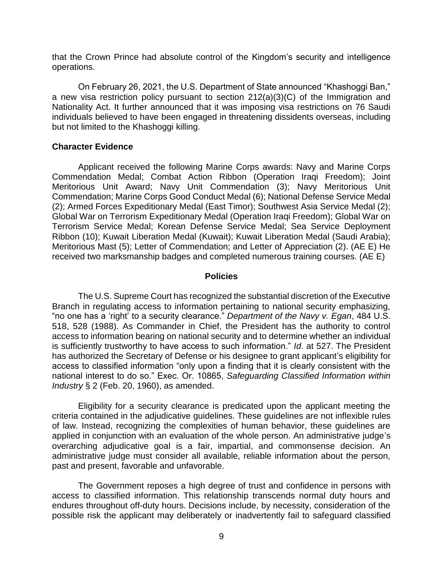that the Crown Prince had absolute control of the Kingdom's security and intelligence operations.

 On February 26, 2021, the U.S. Department of State announced "Khashoggi Ban," a new visa restriction policy pursuant to section 212(a)(3)(C) of the Immigration and Nationality Act. It further announced that it was imposing visa restrictions on 76 Saudi individuals believed to have been engaged in threatening dissidents overseas, including but not limited to the Khashoggi killing.

### **Character Evidence**

Applicant received the following Marine Corps awards: Navy and Marine Corps Commendation Medal; Combat Action Ribbon (Operation Iraqi Freedom); Joint Meritorious Unit Award; Navy Unit Commendation (3); Navy Meritorious Unit Commendation; Marine Corps Good Conduct Medal (6); National Defense Service Medal (2); Armed Forces Expeditionary Medal (East Timor); Southwest Asia Service Medal (2); Global War on Terrorism Expeditionary Medal (Operation Iraqi Freedom); Global War on Terrorism Service Medal; Korean Defense Service Medal; Sea Service Deployment Ribbon (10); Kuwait Liberation Medal (Kuwait); Kuwait Liberation Medal (Saudi Arabia); Meritorious Mast (5); Letter of Commendation; and Letter of Appreciation (2). (AE E) He received two marksmanship badges and completed numerous training courses. (AE E)

### **Policies**

 "no one has a 'right' to a security clearance." *Department of the Navy v. Egan*, 484 U.S. is sufficiently trustworthy to have access to such information." *Id*. at 527. The President access to classified information "only upon a finding that it is clearly consistent with the national interest to do so." Exec. Or. 10865, *Safeguarding Classified Information within*  The U.S. Supreme Court has recognized the substantial discretion of the Executive Branch in regulating access to information pertaining to national security emphasizing, 518, 528 (1988). As Commander in Chief, the President has the authority to control access to information bearing on national security and to determine whether an individual has authorized the Secretary of Defense or his designee to grant applicant's eligibility for *Industry* § 2 (Feb. 20, 1960), as amended.

Eligibility for a security clearance is predicated upon the applicant meeting the criteria contained in the adjudicative guidelines. These guidelines are not inflexible rules of law. Instead, recognizing the complexities of human behavior, these guidelines are applied in conjunction with an evaluation of the whole person. An administrative judge's overarching adjudicative goal is a fair, impartial, and commonsense decision. An administrative judge must consider all available, reliable information about the person, past and present, favorable and unfavorable.

The Government reposes a high degree of trust and confidence in persons with access to classified information. This relationship transcends normal duty hours and endures throughout off-duty hours. Decisions include, by necessity, consideration of the possible risk the applicant may deliberately or inadvertently fail to safeguard classified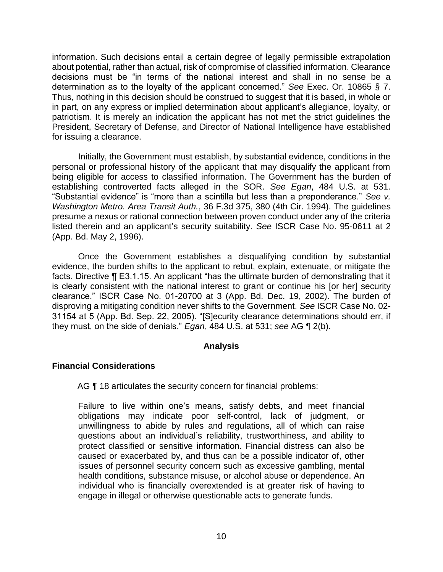decisions must be "in terms of the national interest and shall in no sense be a determination as to the loyalty of the applicant concerned." *See* Exec. Or. 10865 § 7. information. Such decisions entail a certain degree of legally permissible extrapolation about potential, rather than actual, risk of compromise of classified information. Clearance Thus, nothing in this decision should be construed to suggest that it is based, in whole or in part, on any express or implied determination about applicant's allegiance, loyalty, or patriotism. It is merely an indication the applicant has not met the strict guidelines the President, Secretary of Defense, and Director of National Intelligence have established for issuing a clearance.

 "Substantial evidence" is "more than a scintilla but less than a preponderance." *See v.*  Initially, the Government must establish, by substantial evidence, conditions in the personal or professional history of the applicant that may disqualify the applicant from being eligible for access to classified information. The Government has the burden of establishing controverted facts alleged in the SOR. *See Egan*, 484 U.S. at 531. *Washington Metro. Area Transit Auth.*, 36 F.3d 375, 380 (4th Cir. 1994). The guidelines presume a nexus or rational connection between proven conduct under any of the criteria listed therein and an applicant's security suitability. *See* ISCR Case No. 95-0611 at 2 (App. Bd. May 2, 1996).

Once the Government establishes a disqualifying condition by substantial evidence, the burden shifts to the applicant to rebut, explain, extenuate, or mitigate the facts. Directive ¶ E3.1.15. An applicant "has the ultimate burden of demonstrating that it is clearly consistent with the national interest to grant or continue his [or her] security clearance." ISCR Case No. 01-20700 at 3 (App. Bd. Dec. 19, 2002). The burden of disproving a mitigating condition never shifts to the Government. *See* ISCR Case No. 02- 31154 at 5 (App. Bd. Sep. 22, 2005). "[S]ecurity clearance determinations should err, if they must, on the side of denials." *Egan*, 484 U.S. at 531; *see* AG ¶ 2(b).

## **Analysis**

## **Financial Considerations**

AG ¶ 18 articulates the security concern for financial problems:

Failure to live within one's means, satisfy debts, and meet financial obligations may indicate poor self-control, lack of judgment, or unwillingness to abide by rules and regulations, all of which can raise questions about an individual's reliability, trustworthiness, and ability to protect classified or sensitive information. Financial distress can also be caused or exacerbated by, and thus can be a possible indicator of, other issues of personnel security concern such as excessive gambling, mental health conditions, substance misuse, or alcohol abuse or dependence. An individual who is financially overextended is at greater risk of having to engage in illegal or otherwise questionable acts to generate funds.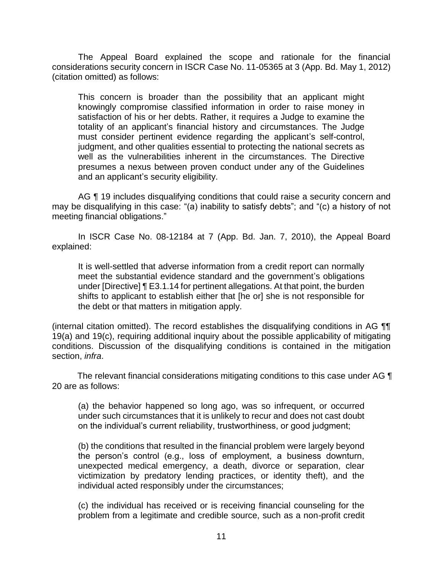The Appeal Board explained the scope and rationale for the financial considerations security concern in ISCR Case No. 11-05365 at 3 (App. Bd. May 1, 2012) (citation omitted) as follows:

This concern is broader than the possibility that an applicant might knowingly compromise classified information in order to raise money in satisfaction of his or her debts. Rather, it requires a Judge to examine the totality of an applicant's financial history and circumstances. The Judge must consider pertinent evidence regarding the applicant's self-control, judgment, and other qualities essential to protecting the national secrets as well as the vulnerabilities inherent in the circumstances. The Directive presumes a nexus between proven conduct under any of the Guidelines and an applicant's security eligibility.

 may be disqualifying in this case: "(a) inability to satisfy debts"; and "(c) a history of not AG  $\P$  19 includes disqualifying conditions that could raise a security concern and meeting financial obligations."

In ISCR Case No. 08-12184 at 7 (App. Bd. Jan. 7, 2010), the Appeal Board explained:

It is well-settled that adverse information from a credit report can normally meet the substantial evidence standard and the government's obligations under [Directive] ¶ E3.1.14 for pertinent allegations. At that point, the burden shifts to applicant to establish either that [he or] she is not responsible for the debt or that matters in mitigation apply.

(internal citation omitted). The record establishes the disqualifying conditions in AG ¶¶ 19(a) and 19(c), requiring additional inquiry about the possible applicability of mitigating conditions. Discussion of the disqualifying conditions is contained in the mitigation section, *infra*.

The relevant financial considerations mitigating conditions to this case under AG ¶ 20 are as follows:

(a) the behavior happened so long ago, was so infrequent, or occurred under such circumstances that it is unlikely to recur and does not cast doubt on the individual's current reliability, trustworthiness, or good judgment;

(b) the conditions that resulted in the financial problem were largely beyond the person's control (e.g., loss of employment, a business downturn, unexpected medical emergency, a death, divorce or separation, clear victimization by predatory lending practices, or identity theft), and the individual acted responsibly under the circumstances;

(c) the individual has received or is receiving financial counseling for the problem from a legitimate and credible source, such as a non-profit credit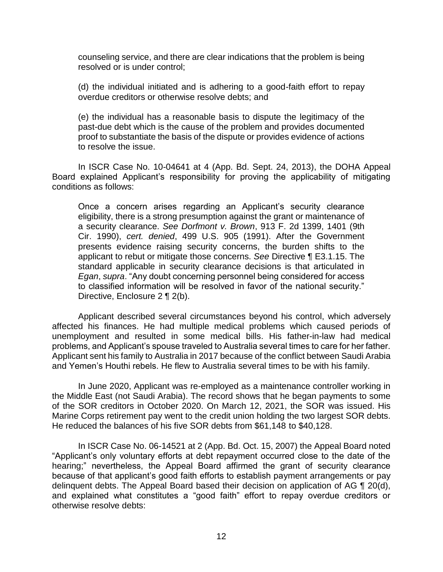counseling service, and there are clear indications that the problem is being resolved or is under control;

(d) the individual initiated and is adhering to a good-faith effort to repay overdue creditors or otherwise resolve debts; and

(e) the individual has a reasonable basis to dispute the legitimacy of the past-due debt which is the cause of the problem and provides documented proof to substantiate the basis of the dispute or provides evidence of actions to resolve the issue.

 Board explained Applicant's responsibility for proving the applicability of mitigating In ISCR Case No. 10-04641 at 4 (App. Bd. Sept. 24, 2013), the DOHA Appeal conditions as follows:

Once a concern arises regarding an Applicant's security clearance eligibility, there is a strong presumption against the grant or maintenance of a security clearance. *See Dorfmont v. Brown*, 913 F. 2d 1399, 1401 (9th Cir. 1990), *cert. denied*, 499 U.S. 905 (1991). After the Government presents evidence raising security concerns, the burden shifts to the applicant to rebut or mitigate those concerns. *See* Directive ¶ E3.1.15. The standard applicable in security clearance decisions is that articulated in *Egan*, *supra*. "Any doubt concerning personnel being considered for access to classified information will be resolved in favor of the national security." Directive, Enclosure 2 ¶ 2(b).

Applicant described several circumstances beyond his control, which adversely affected his finances. He had multiple medical problems which caused periods of unemployment and resulted in some medical bills. His father-in-law had medical problems, and Applicant's spouse traveled to Australia several times to care for her father. Applicant sent his family to Australia in 2017 because of the conflict between Saudi Arabia and Yemen's Houthi rebels. He flew to Australia several times to be with his family.

In June 2020, Applicant was re-employed as a maintenance controller working in the Middle East (not Saudi Arabia). The record shows that he began payments to some of the SOR creditors in October 2020. On March 12, 2021, the SOR was issued. His Marine Corps retirement pay went to the credit union holding the two largest SOR debts. He reduced the balances of his five SOR debts from \$61,148 to \$40,128.

In ISCR Case No. 06-14521 at 2 (App. Bd. Oct. 15, 2007) the Appeal Board noted "Applicant's only voluntary efforts at debt repayment occurred close to the date of the hearing;" nevertheless, the Appeal Board affirmed the grant of security clearance because of that applicant's good faith efforts to establish payment arrangements or pay delinquent debts. The Appeal Board based their decision on application of AG ¶ 20(d), and explained what constitutes a "good faith" effort to repay overdue creditors or otherwise resolve debts: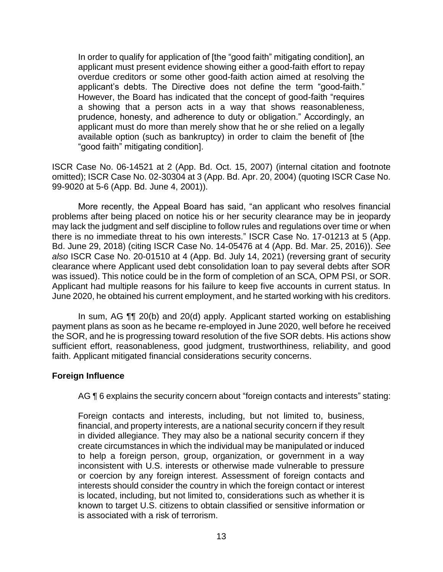In order to qualify for application of [the "good faith" mitigating condition], an applicant's debts. The Directive does not define the term "good-faith." prudence, honesty, and adherence to duty or obligation." Accordingly, an "good faith" mitigating condition]. applicant must present evidence showing either a good-faith effort to repay overdue creditors or some other good-faith action aimed at resolving the However, the Board has indicated that the concept of good-faith "requires a showing that a person acts in a way that shows reasonableness, applicant must do more than merely show that he or she relied on a legally available option (such as bankruptcy) in order to claim the benefit of [the

ISCR Case No. 06-14521 at 2 (App. Bd. Oct. 15, 2007) (internal citation and footnote omitted); ISCR Case No. 02-30304 at 3 (App. Bd. Apr. 20, 2004) (quoting ISCR Case No. 99-9020 at 5-6 (App. Bd. June 4, 2001)).

 More recently, the Appeal Board has said, "an applicant who resolves financial problems after being placed on notice his or her security clearance may be in jeopardy may lack the judgment and self discipline to follow rules and regulations over time or when there is no immediate threat to his own interests." ISCR Case No. 17-01213 at 5 (App. Bd. June 29, 2018) (citing ISCR Case No. 14-05476 at 4 (App. Bd. Mar. 25, 2016)). *See also* ISCR Case No. 20-01510 at 4 (App. Bd. July 14, 2021) (reversing grant of security clearance where Applicant used debt consolidation loan to pay several debts after SOR was issued). This notice could be in the form of completion of an SCA, OPM PSI, or SOR. Applicant had multiple reasons for his failure to keep five accounts in current status. In June 2020, he obtained his current employment, and he started working with his creditors.

In sum, AG ¶¶ 20(b) and 20(d) apply. Applicant started working on establishing payment plans as soon as he became re-employed in June 2020, well before he received the SOR, and he is progressing toward resolution of the five SOR debts. His actions show sufficient effort, reasonableness, good judgment, trustworthiness, reliability, and good faith. Applicant mitigated financial considerations security concerns.

### **Foreign Influence**

AG ¶ 6 explains the security concern about "foreign contacts and interests" stating:

Foreign contacts and interests, including, but not limited to, business, financial, and property interests, are a national security concern if they result in divided allegiance. They may also be a national security concern if they create circumstances in which the individual may be manipulated or induced to help a foreign person, group, organization, or government in a way inconsistent with U.S. interests or otherwise made vulnerable to pressure or coercion by any foreign interest. Assessment of foreign contacts and interests should consider the country in which the foreign contact or interest is located, including, but not limited to, considerations such as whether it is known to target U.S. citizens to obtain classified or sensitive information or is associated with a risk of terrorism.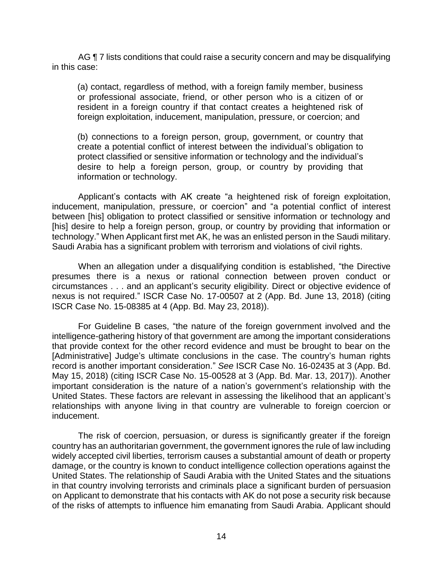AG ¶ 7 lists conditions that could raise a security concern and may be disqualifying in this case:

(a) contact, regardless of method, with a foreign family member, business or professional associate, friend, or other person who is a citizen of or resident in a foreign country if that contact creates a heightened risk of foreign exploitation, inducement, manipulation, pressure, or coercion; and

(b) connections to a foreign person, group, government, or country that create a potential conflict of interest between the individual's obligation to protect classified or sensitive information or technology and the individual's desire to help a foreign person, group, or country by providing that information or technology.

 Applicant's contacts with AK create "a heightened risk of foreign exploitation, inducement, manipulation, pressure, or coercion" and "a potential conflict of interest between [his] obligation to protect classified or sensitive information or technology and [his] desire to help a foreign person, group, or country by providing that information or technology." When Applicant first met AK, he was an enlisted person in the Saudi military. Saudi Arabia has a significant problem with terrorism and violations of civil rights.

When an allegation under a disqualifying condition is established, "the Directive presumes there is a nexus or rational connection between proven conduct or circumstances . . . and an applicant's security eligibility. Direct or objective evidence of nexus is not required." ISCR Case No. 17-00507 at 2 (App. Bd. June 13, 2018) (citing ISCR Case No. 15-08385 at 4 (App. Bd. May 23, 2018)).

For Guideline B cases, "the nature of the foreign government involved and the intelligence-gathering history of that government are among the important considerations that provide context for the other record evidence and must be brought to bear on the [Administrative] Judge's ultimate conclusions in the case. The country's human rights record is another important consideration." *See* ISCR Case No. 16-02435 at 3 (App. Bd. May 15, 2018) (citing ISCR Case No. 15-00528 at 3 (App. Bd. Mar. 13, 2017)). Another important consideration is the nature of a nation's government's relationship with the United States. These factors are relevant in assessing the likelihood that an applicant's relationships with anyone living in that country are vulnerable to foreign coercion or inducement.

The risk of coercion, persuasion, or duress is significantly greater if the foreign country has an authoritarian government, the government ignores the rule of law including widely accepted civil liberties, terrorism causes a substantial amount of death or property damage, or the country is known to conduct intelligence collection operations against the United States. The relationship of Saudi Arabia with the United States and the situations in that country involving terrorists and criminals place a significant burden of persuasion on Applicant to demonstrate that his contacts with AK do not pose a security risk because of the risks of attempts to influence him emanating from Saudi Arabia. Applicant should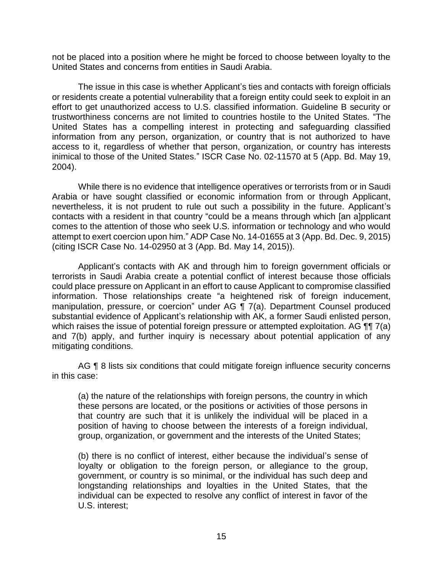not be placed into a position where he might be forced to choose between loyalty to the United States and concerns from entities in Saudi Arabia.

The issue in this case is whether Applicant's ties and contacts with foreign officials or residents create a potential vulnerability that a foreign entity could seek to exploit in an effort to get unauthorized access to U.S. classified information. Guideline B security or trustworthiness concerns are not limited to countries hostile to the United States. "The United States has a compelling interest in protecting and safeguarding classified information from any person, organization, or country that is not authorized to have access to it, regardless of whether that person, organization, or country has interests inimical to those of the United States." ISCR Case No. 02-11570 at 5 (App. Bd. May 19, 2004).

While there is no evidence that intelligence operatives or terrorists from or in Saudi Arabia or have sought classified or economic information from or through Applicant, nevertheless, it is not prudent to rule out such a possibility in the future. Applicant's contacts with a resident in that country "could be a means through which [an a]pplicant comes to the attention of those who seek U.S. information or technology and who would attempt to exert coercion upon him." ADP Case No. 14-01655 at 3 (App. Bd. Dec. 9, 2015) (citing ISCR Case No. 14-02950 at 3 (App. Bd. May 14, 2015)).

Applicant's contacts with AK and through him to foreign government officials or terrorists in Saudi Arabia create a potential conflict of interest because those officials could place pressure on Applicant in an effort to cause Applicant to compromise classified information. Those relationships create "a heightened risk of foreign inducement, manipulation, pressure, or coercion" under AG ¶ 7(a). Department Counsel produced substantial evidence of Applicant's relationship with AK, a former Saudi enlisted person, which raises the issue of potential foreign pressure or attempted exploitation. AG **[1]** 7(a) and 7(b) apply, and further inquiry is necessary about potential application of any mitigating conditions.

AG ¶ 8 lists six conditions that could mitigate foreign influence security concerns in this case:

(a) the nature of the relationships with foreign persons, the country in which these persons are located, or the positions or activities of those persons in that country are such that it is unlikely the individual will be placed in a position of having to choose between the interests of a foreign individual, group, organization, or government and the interests of the United States;

(b) there is no conflict of interest, either because the individual's sense of loyalty or obligation to the foreign person, or allegiance to the group, government, or country is so minimal, or the individual has such deep and longstanding relationships and loyalties in the United States, that the individual can be expected to resolve any conflict of interest in favor of the U.S. interest;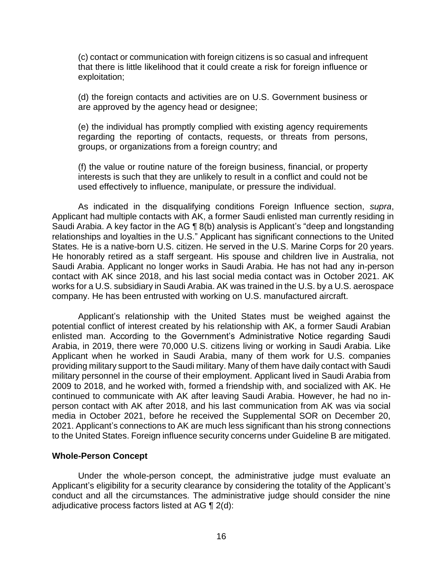(c) contact or communication with foreign citizens is so casual and infrequent that there is little likelihood that it could create a risk for foreign influence or exploitation;

(d) the foreign contacts and activities are on U.S. Government business or are approved by the agency head or designee;

(e) the individual has promptly complied with existing agency requirements regarding the reporting of contacts, requests, or threats from persons, groups, or organizations from a foreign country; and

(f) the value or routine nature of the foreign business, financial, or property interests is such that they are unlikely to result in a conflict and could not be used effectively to influence, manipulate, or pressure the individual.

As indicated in the disqualifying conditions Foreign Influence section, *supra*, Applicant had multiple contacts with AK, a former Saudi enlisted man currently residing in Saudi Arabia. A key factor in the AG ¶ 8(b) analysis is Applicant's "deep and longstanding relationships and loyalties in the U.S." Applicant has significant connections to the United States. He is a native-born U.S. citizen. He served in the U.S. Marine Corps for 20 years. He honorably retired as a staff sergeant. His spouse and children live in Australia, not Saudi Arabia. Applicant no longer works in Saudi Arabia. He has not had any in-person contact with AK since 2018, and his last social media contact was in October 2021. AK works for a U.S. subsidiary in Saudi Arabia. AK was trained in the U.S. by a U.S. aerospace company. He has been entrusted with working on U.S. manufactured aircraft.

 enlisted man. According to the Government's Administrative Notice regarding Saudi Applicant's relationship with the United States must be weighed against the potential conflict of interest created by his relationship with AK, a former Saudi Arabian Arabia, in 2019, there were 70,000 U.S. citizens living or working in Saudi Arabia. Like Applicant when he worked in Saudi Arabia, many of them work for U.S. companies providing military support to the Saudi military. Many of them have daily contact with Saudi military personnel in the course of their employment. Applicant lived in Saudi Arabia from 2009 to 2018, and he worked with, formed a friendship with, and socialized with AK. He continued to communicate with AK after leaving Saudi Arabia. However, he had no inperson contact with AK after 2018, and his last communication from AK was via social media in October 2021, before he received the Supplemental SOR on December 20, 2021. Applicant's connections to AK are much less significant than his strong connections to the United States. Foreign influence security concerns under Guideline B are mitigated.

### **Whole-Person Concept**

Under the whole-person concept, the administrative judge must evaluate an Applicant's eligibility for a security clearance by considering the totality of the Applicant's conduct and all the circumstances. The administrative judge should consider the nine adjudicative process factors listed at AG ¶ 2(d):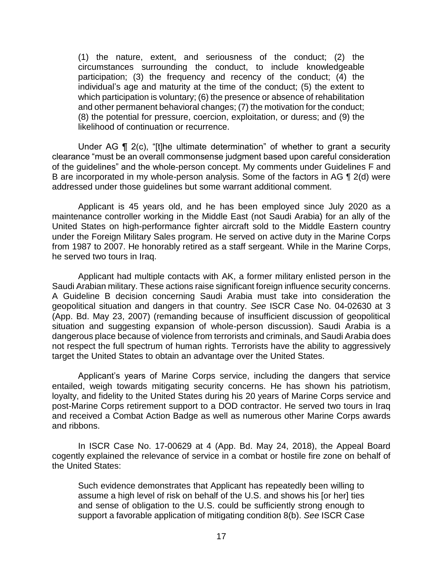(1) the nature, extent, and seriousness of the conduct; (2) the circumstances surrounding the conduct, to include knowledgeable participation; (3) the frequency and recency of the conduct; (4) the individual's age and maturity at the time of the conduct; (5) the extent to which participation is voluntary; (6) the presence or absence of rehabilitation and other permanent behavioral changes; (7) the motivation for the conduct; (8) the potential for pressure, coercion, exploitation, or duress; and (9) the likelihood of continuation or recurrence.

Under AG ¶ 2(c), "[t]he ultimate determination" of whether to grant a security clearance "must be an overall commonsense judgment based upon careful consideration of the guidelines" and the whole-person concept. My comments under Guidelines F and B are incorporated in my whole-person analysis. Some of the factors in AG ¶ 2(d) were addressed under those guidelines but some warrant additional comment.

Applicant is 45 years old, and he has been employed since July 2020 as a maintenance controller working in the Middle East (not Saudi Arabia) for an ally of the United States on high-performance fighter aircraft sold to the Middle Eastern country under the Foreign Military Sales program. He served on active duty in the Marine Corps from 1987 to 2007. He honorably retired as a staff sergeant. While in the Marine Corps, he served two tours in Iraq.

Applicant had multiple contacts with AK, a former military enlisted person in the Saudi Arabian military. These actions raise significant foreign influence security concerns. A Guideline B decision concerning Saudi Arabia must take into consideration the geopolitical situation and dangers in that country. *See* ISCR Case No. 04-02630 at 3 (App. Bd. May 23, 2007) (remanding because of insufficient discussion of geopolitical situation and suggesting expansion of whole-person discussion). Saudi Arabia is a dangerous place because of violence from terrorists and criminals, and Saudi Arabia does not respect the full spectrum of human rights. Terrorists have the ability to aggressively target the United States to obtain an advantage over the United States.

Applicant's years of Marine Corps service, including the dangers that service entailed, weigh towards mitigating security concerns. He has shown his patriotism, loyalty, and fidelity to the United States during his 20 years of Marine Corps service and post-Marine Corps retirement support to a DOD contractor. He served two tours in Iraq and received a Combat Action Badge as well as numerous other Marine Corps awards and ribbons.

In ISCR Case No. 17-00629 at 4 (App. Bd. May 24, 2018), the Appeal Board cogently explained the relevance of service in a combat or hostile fire zone on behalf of the United States:

Such evidence demonstrates that Applicant has repeatedly been willing to assume a high level of risk on behalf of the U.S. and shows his [or her] ties and sense of obligation to the U.S. could be sufficiently strong enough to support a favorable application of mitigating condition 8(b). *See* ISCR Case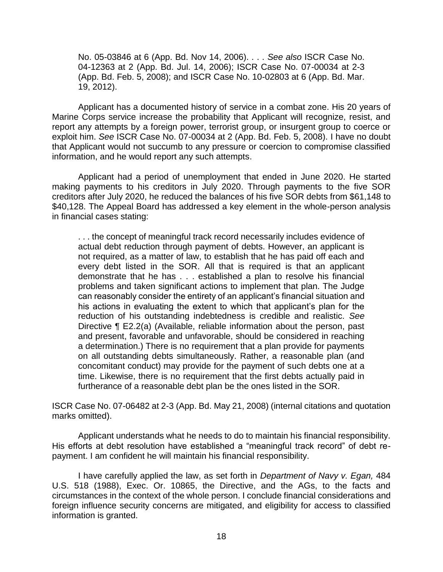No. 05-03846 at 6 (App. Bd. Nov 14, 2006). . . . *See also* ISCR Case No. 04-12363 at 2 (App. Bd. Jul. 14, 2006); ISCR Case No. 07-00034 at 2-3 (App. Bd. Feb. 5, 2008); and ISCR Case No. 10-02803 at 6 (App. Bd. Mar. 19, 2012).

Applicant has a documented history of service in a combat zone. His 20 years of Marine Corps service increase the probability that Applicant will recognize, resist, and report any attempts by a foreign power, terrorist group, or insurgent group to coerce or exploit him. *See* ISCR Case No. 07-00034 at 2 (App. Bd. Feb. 5, 2008). I have no doubt that Applicant would not succumb to any pressure or coercion to compromise classified information, and he would report any such attempts.

Applicant had a period of unemployment that ended in June 2020. He started making payments to his creditors in July 2020. Through payments to the five SOR creditors after July 2020, he reduced the balances of his five SOR debts from \$61,148 to \$40,128. The Appeal Board has addressed a key element in the whole-person analysis in financial cases stating:

. . . the concept of meaningful track record necessarily includes evidence of actual debt reduction through payment of debts. However, an applicant is not required, as a matter of law, to establish that he has paid off each and every debt listed in the SOR. All that is required is that an applicant demonstrate that he has . . . established a plan to resolve his financial problems and taken significant actions to implement that plan. The Judge can reasonably consider the entirety of an applicant's financial situation and his actions in evaluating the extent to which that applicant's plan for the reduction of his outstanding indebtedness is credible and realistic. *See*  Directive ¶ E2.2(a) (Available, reliable information about the person, past and present, favorable and unfavorable, should be considered in reaching a determination.) There is no requirement that a plan provide for payments on all outstanding debts simultaneously. Rather, a reasonable plan (and concomitant conduct) may provide for the payment of such debts one at a time. Likewise, there is no requirement that the first debts actually paid in furtherance of a reasonable debt plan be the ones listed in the SOR.

ISCR Case No. 07-06482 at 2-3 (App. Bd. May 21, 2008) (internal citations and quotation marks omitted).

Applicant understands what he needs to do to maintain his financial responsibility. His efforts at debt resolution have established a "meaningful track record" of debt repayment. I am confident he will maintain his financial responsibility.

I have carefully applied the law, as set forth in *Department of Navy v. Egan,* 484 U.S. 518 (1988), Exec. Or. 10865, the Directive, and the AGs, to the facts and circumstances in the context of the whole person. I conclude financial considerations and foreign influence security concerns are mitigated, and eligibility for access to classified information is granted.